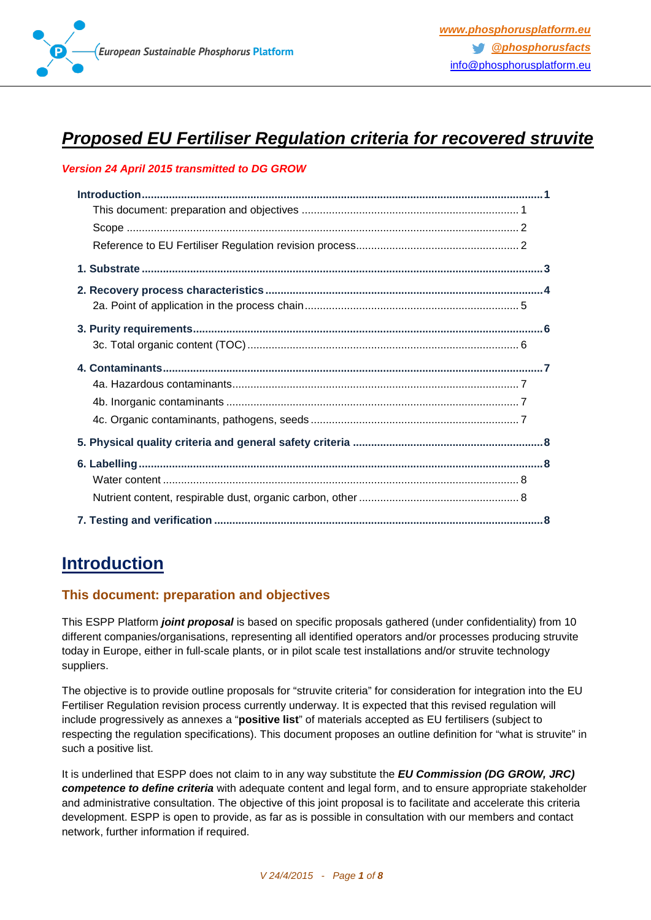

# *Proposed EU Fertiliser Regulation criteria for recovered struvite*

#### *Version 24 April 2015 transmitted to DG GROW*

## <span id="page-0-0"></span>**Introduction**

### <span id="page-0-1"></span>**This document: preparation and objectives**

This ESPP Platform *joint proposal* is based on specific proposals gathered (under confidentiality) from 10 different companies/organisations, representing all identified operators and/or processes producing struvite today in Europe, either in full-scale plants, or in pilot scale test installations and/or struvite technology suppliers.

The objective is to provide outline proposals for "struvite criteria" for consideration for integration into the EU Fertiliser Regulation revision process currently underway. It is expected that this revised regulation will include progressively as annexes a "**positive list**" of materials accepted as EU fertilisers (subject to respecting the regulation specifications). This document proposes an outline definition for "what is struvite" in such a positive list.

It is underlined that ESPP does not claim to in any way substitute the *EU Commission (DG GROW, JRC) competence to define criteria* with adequate content and legal form, and to ensure appropriate stakeholder and administrative consultation. The objective of this joint proposal is to facilitate and accelerate this criteria development. ESPP is open to provide, as far as is possible in consultation with our members and contact network, further information if required.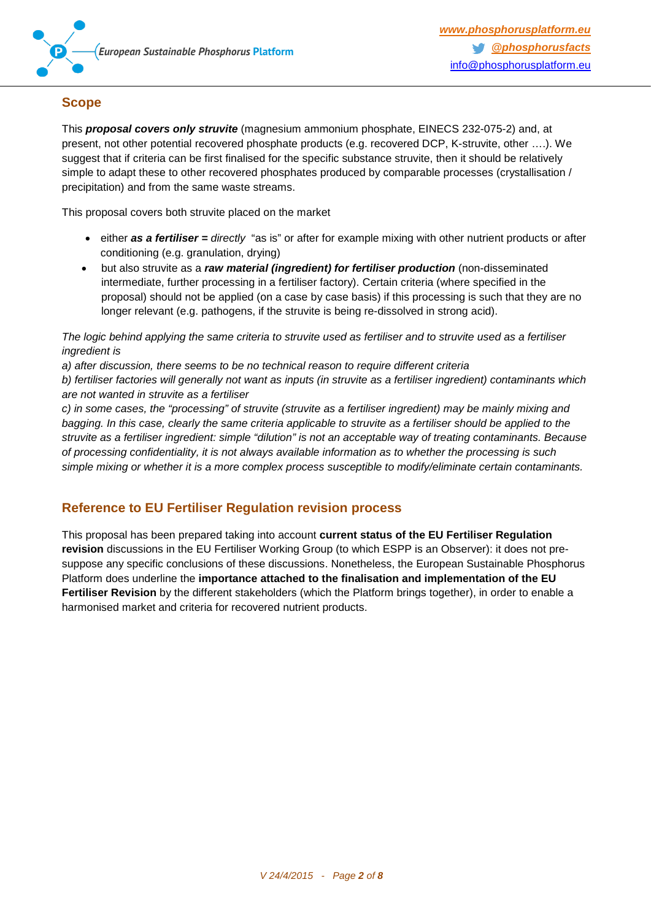

### <span id="page-1-0"></span>**Scope**

This *proposal covers only struvite* (magnesium ammonium phosphate, EINECS 232-075-2) and, at present, not other potential recovered phosphate products (e.g. recovered DCP, K-struvite, other ….). We suggest that if criteria can be first finalised for the specific substance struvite, then it should be relatively simple to adapt these to other recovered phosphates produced by comparable processes (crystallisation / precipitation) and from the same waste streams.

This proposal covers both struvite placed on the market

- either **as a fertiliser** = *directly* "as is" or after for example mixing with other nutrient products or after conditioning (e.g. granulation, drying)
- but also struvite as a *raw material (ingredient) for fertiliser production* (non-disseminated intermediate, further processing in a fertiliser factory). Certain criteria (where specified in the proposal) should not be applied (on a case by case basis) if this processing is such that they are no longer relevant (e.g. pathogens, if the struvite is being re-dissolved in strong acid).

*The logic behind applying the same criteria to struvite used as fertiliser and to struvite used as a fertiliser ingredient is*

*a) after discussion, there seems to be no technical reason to require different criteria*

*b) fertiliser factories will generally not want as inputs (in struvite as a fertiliser ingredient) contaminants which are not wanted in struvite as a fertiliser*

*c) in some cases, the "processing" of struvite (struvite as a fertiliser ingredient) may be mainly mixing and bagging. In this case, clearly the same criteria applicable to struvite as a fertiliser should be applied to the struvite as a fertiliser ingredient: simple "dilution" is not an acceptable way of treating contaminants. Because of processing confidentiality, it is not always available information as to whether the processing is such simple mixing or whether it is a more complex process susceptible to modify/eliminate certain contaminants.*

### <span id="page-1-1"></span>**Reference to EU Fertiliser Regulation revision process**

This proposal has been prepared taking into account **current status of the EU Fertiliser Regulation revision** discussions in the EU Fertiliser Working Group (to which ESPP is an Observer): it does not presuppose any specific conclusions of these discussions. Nonetheless, the European Sustainable Phosphorus Platform does underline the **importance attached to the finalisation and implementation of the EU Fertiliser Revision** by the different stakeholders (which the Platform brings together), in order to enable a harmonised market and criteria for recovered nutrient products.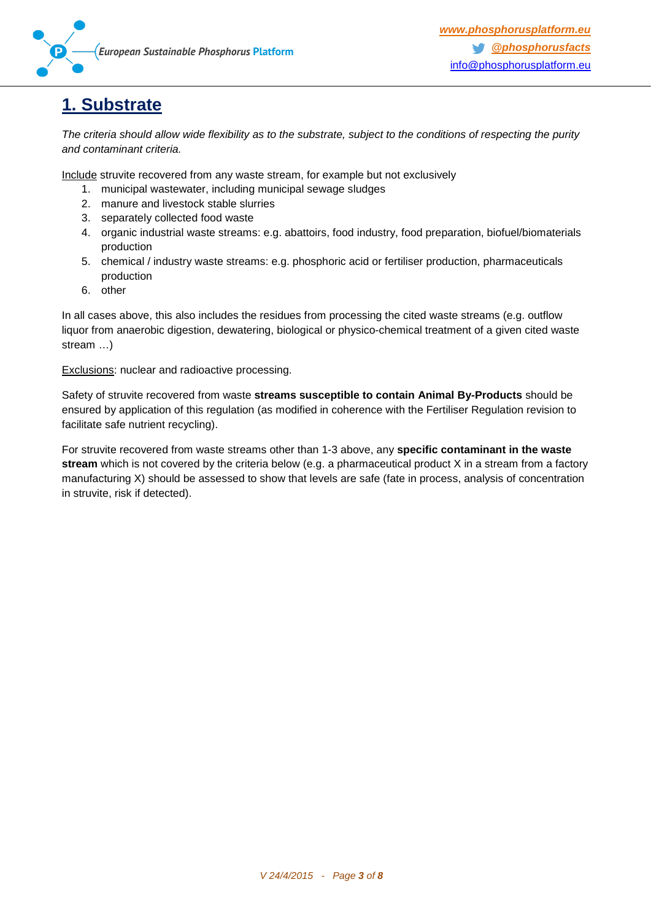

## <span id="page-2-0"></span>**1. Substrate**

*The criteria should allow wide flexibility as to the substrate, subject to the conditions of respecting the purity and contaminant criteria.*

Include struvite recovered from any waste stream, for example but not exclusively

- 1. municipal wastewater, including municipal sewage sludges
- 2. manure and livestock stable slurries
- 3. separately collected food waste
- 4. organic industrial waste streams: e.g. abattoirs, food industry, food preparation, biofuel/biomaterials production
- 5. chemical / industry waste streams: e.g. phosphoric acid or fertiliser production, pharmaceuticals production
- 6. other

In all cases above, this also includes the residues from processing the cited waste streams (e.g. outflow liquor from anaerobic digestion, dewatering, biological or physico-chemical treatment of a given cited waste stream …)

Exclusions: nuclear and radioactive processing.

Safety of struvite recovered from waste **streams susceptible to contain Animal By-Products** should be ensured by application of this regulation (as modified in coherence with the Fertiliser Regulation revision to facilitate safe nutrient recycling).

For struvite recovered from waste streams other than 1-3 above, any **specific contaminant in the waste stream** which is not covered by the criteria below (e.g. a pharmaceutical product X in a stream from a factory manufacturing X) should be assessed to show that levels are safe (fate in process, analysis of concentration in struvite, risk if detected).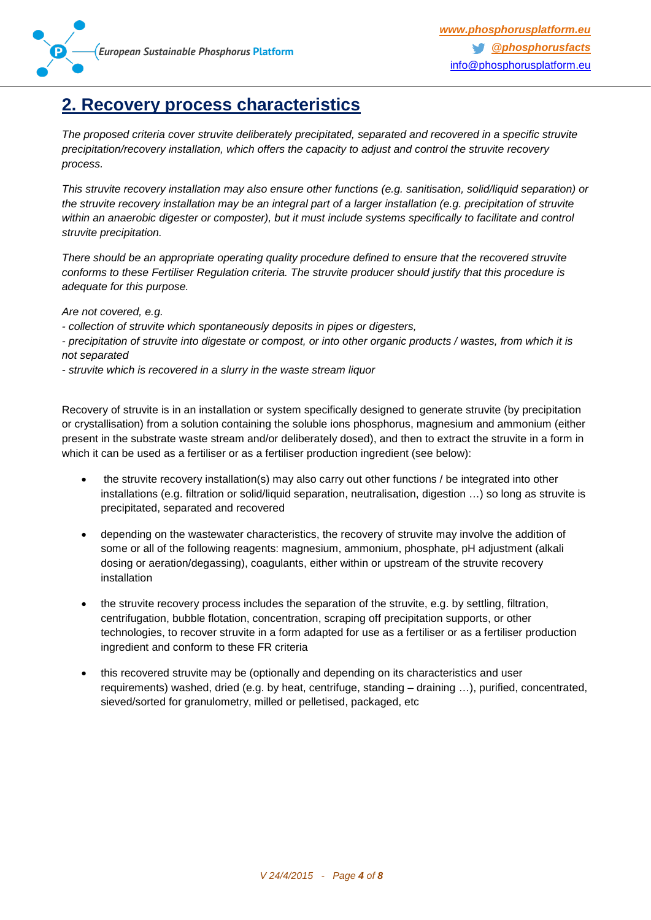

## <span id="page-3-0"></span>**2. Recovery process characteristics**

*The proposed criteria cover struvite deliberately precipitated, separated and recovered in a specific struvite precipitation/recovery installation, which offers the capacity to adjust and control the struvite recovery process.*

*This struvite recovery installation may also ensure other functions (e.g. sanitisation, solid/liquid separation) or the struvite recovery installation may be an integral part of a larger installation (e.g. precipitation of struvite within an anaerobic digester or composter), but it must include systems specifically to facilitate and control struvite precipitation.*

*There should be an appropriate operating quality procedure defined to ensure that the recovered struvite conforms to these Fertiliser Regulation criteria. The struvite producer should justify that this procedure is adequate for this purpose.*

*Are not covered, e.g.* 

- *- collection of struvite which spontaneously deposits in pipes or digesters,*
- *- precipitation of struvite into digestate or compost, or into other organic products / wastes, from which it is not separated*
- *- struvite which is recovered in a slurry in the waste stream liquor*

Recovery of struvite is in an installation or system specifically designed to generate struvite (by precipitation or crystallisation) from a solution containing the soluble ions phosphorus, magnesium and ammonium (either present in the substrate waste stream and/or deliberately dosed), and then to extract the struvite in a form in which it can be used as a fertiliser or as a fertiliser production ingredient (see below):

- the struvite recovery installation(s) may also carry out other functions / be integrated into other installations (e.g. filtration or solid/liquid separation, neutralisation, digestion …) so long as struvite is precipitated, separated and recovered
- depending on the wastewater characteristics, the recovery of struvite may involve the addition of some or all of the following reagents: magnesium, ammonium, phosphate, pH adjustment (alkali dosing or aeration/degassing), coagulants, either within or upstream of the struvite recovery installation
- the struvite recovery process includes the separation of the struvite, e.g. by settling, filtration, centrifugation, bubble flotation, concentration, scraping off precipitation supports, or other technologies, to recover struvite in a form adapted for use as a fertiliser or as a fertiliser production ingredient and conform to these FR criteria
- this recovered struvite may be (optionally and depending on its characteristics and user requirements) washed, dried (e.g. by heat, centrifuge, standing – draining …), purified, concentrated, sieved/sorted for granulometry, milled or pelletised, packaged, etc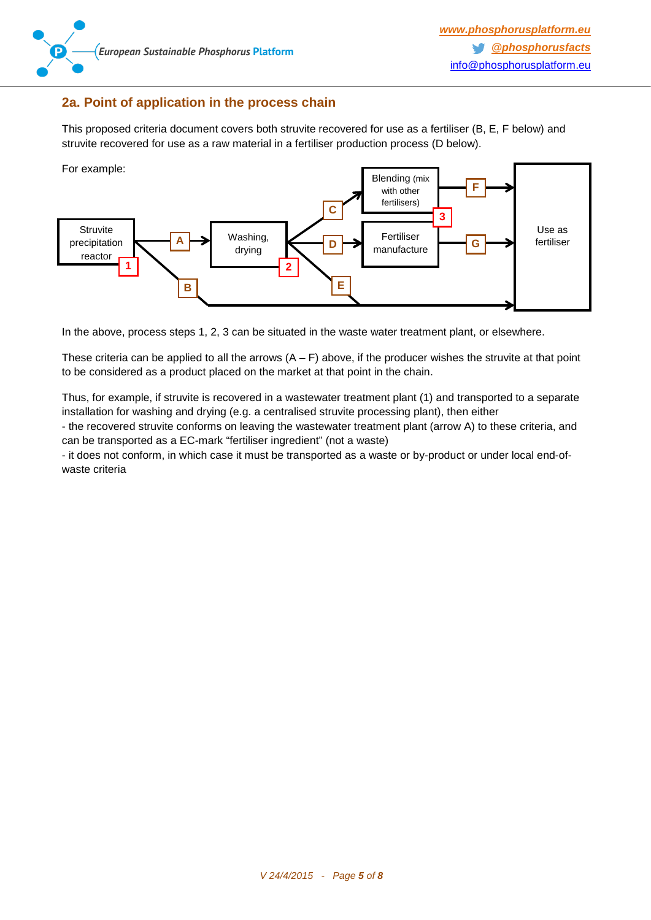

### <span id="page-4-0"></span>**2a. Point of application in the process chain**

This proposed criteria document covers both struvite recovered for use as a fertiliser (B, E, F below) and struvite recovered for use as a raw material in a fertiliser production process (D below).



In the above, process steps 1, 2, 3 can be situated in the waste water treatment plant, or elsewhere.

These criteria can be applied to all the arrows  $(A - F)$  above, if the producer wishes the struvite at that point to be considered as a product placed on the market at that point in the chain.

Thus, for example, if struvite is recovered in a wastewater treatment plant (1) and transported to a separate installation for washing and drying (e.g. a centralised struvite processing plant), then either

- the recovered struvite conforms on leaving the wastewater treatment plant (arrow A) to these criteria, and can be transported as a EC-mark "fertiliser ingredient" (not a waste)

- it does not conform, in which case it must be transported as a waste or by-product or under local end-ofwaste criteria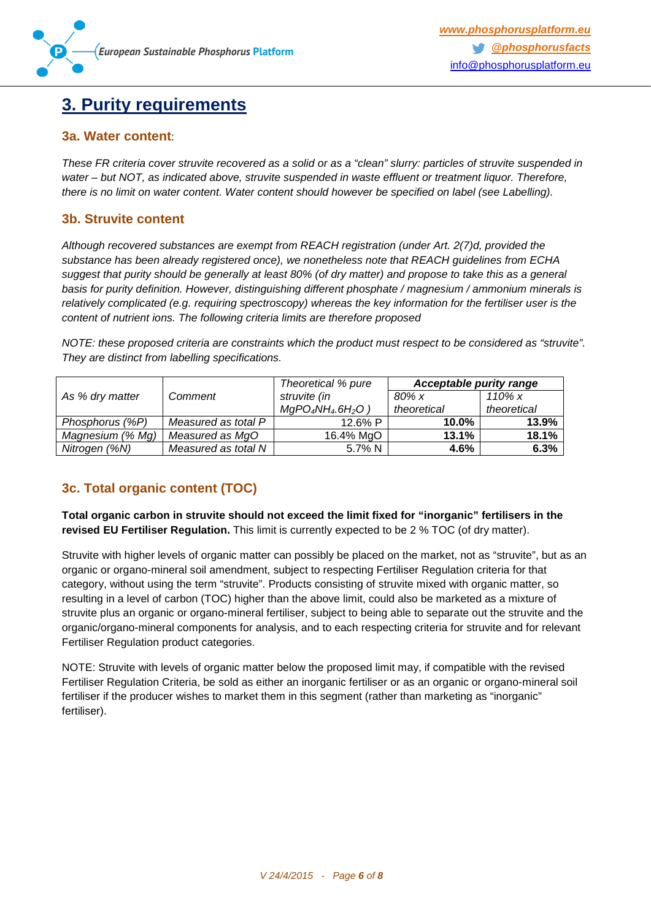## <span id="page-5-0"></span>**3. Purity requirements**

### **3a. Water content**:

*These FR criteria cover struvite recovered as a solid or as a "clean" slurry: particles of struvite suspended in water – but NOT, as indicated above, struvite suspended in waste effluent or treatment liquor. Therefore, there is no limit on water content. Water content should however be specified on label (see Labelling).*

## **3b. Struvite content**

*Although recovered substances are exempt from REACH registration (under Art. 2(7)d, provided the substance has been already registered once), we nonetheless note that REACH guidelines from ECHA suggest that purity should be generally at least 80% (of dry matter) and propose to take this as a general basis for purity definition. However, distinguishing different phosphate / magnesium / ammonium minerals is relatively complicated (e.g. requiring spectroscopy) whereas the key information for the fertiliser user is the content of nutrient ions. The following criteria limits are therefore proposed*

*NOTE: these proposed criteria are constraints which the product must respect to be considered as "struvite". They are distinct from labelling specifications.*

|                  |                     | Theoretical % pure   | <b>Acceptable purity range</b> |             |
|------------------|---------------------|----------------------|--------------------------------|-------------|
| As % dry matter  | Comment             | struvite (in         | $80\%$ x                       | 110% $x$    |
|                  |                     | $MgPO_4NH_4.6H_2O$ ) | theoretical                    | theoretical |
| Phosphorus (%P)  | Measured as total P | 12.6% P              | 10.0%                          | 13.9%       |
| Magnesium (% Mg) | Measured as MgO     | 16.4% MgO            | 13.1%                          | 18.1%       |
| Nitrogen (%N)    | Measured as total N | 5.7% N               | 4.6%                           | 6.3%        |

## <span id="page-5-1"></span>**3c. Total organic content (TOC)**

**Total organic carbon in struvite should not exceed the limit fixed for "inorganic" fertilisers in the revised EU Fertiliser Regulation.** This limit is currently expected to be 2 % TOC (of dry matter).

Struvite with higher levels of organic matter can possibly be placed on the market, not as "struvite", but as an organic or organo-mineral soil amendment, subject to respecting Fertiliser Regulation criteria for that category, without using the term "struvite". Products consisting of struvite mixed with organic matter, so resulting in a level of carbon (TOC) higher than the above limit, could also be marketed as a mixture of struvite plus an organic or organo-mineral fertiliser, subject to being able to separate out the struvite and the organic/organo-mineral components for analysis, and to each respecting criteria for struvite and for relevant Fertiliser Regulation product categories.

NOTE: Struvite with levels of organic matter below the proposed limit may, if compatible with the revised Fertiliser Regulation Criteria, be sold as either an inorganic fertiliser or as an organic or organo-mineral soil fertiliser if the producer wishes to market them in this segment (rather than marketing as "inorganic" fertiliser).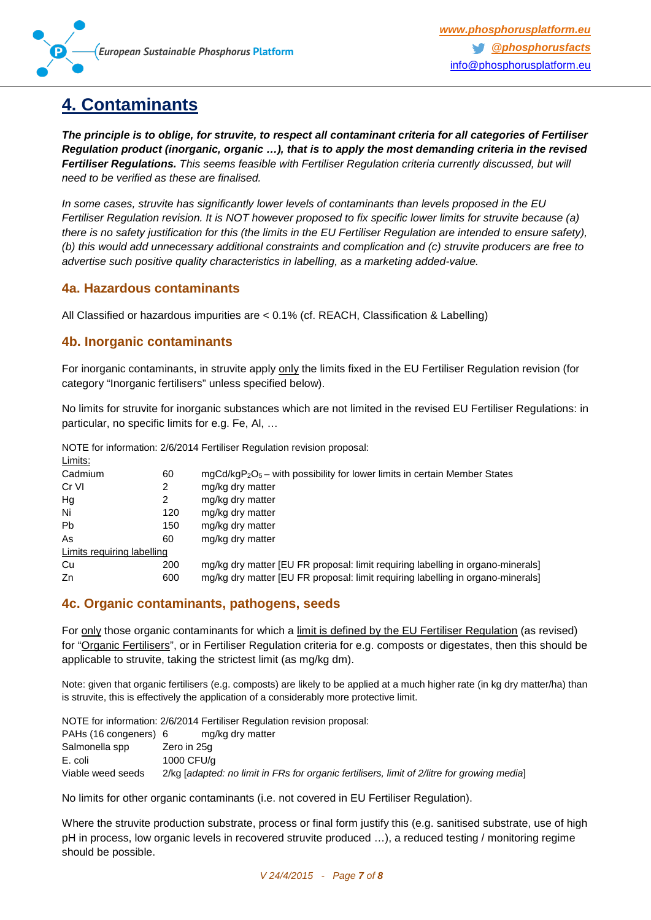

# <span id="page-6-0"></span>**4. Contaminants**

*The principle is to oblige, for struvite, to respect all contaminant criteria for all categories of Fertiliser Regulation product (inorganic, organic …), that is to apply the most demanding criteria in the revised Fertiliser Regulations. This seems feasible with Fertiliser Regulation criteria currently discussed, but will need to be verified as these are finalised.*

*In some cases, struvite has significantly lower levels of contaminants than levels proposed in the EU Fertiliser Regulation revision. It is NOT however proposed to fix specific lower limits for struvite because (a) there is no safety justification for this (the limits in the EU Fertiliser Regulation are intended to ensure safety), (b) this would add unnecessary additional constraints and complication and (c) struvite producers are free to advertise such positive quality characteristics in labelling, as a marketing added-value.*

### <span id="page-6-1"></span>**4a. Hazardous contaminants**

All Classified or hazardous impurities are < 0.1% (cf. REACH, Classification & Labelling)

### <span id="page-6-2"></span>**4b. Inorganic contaminants**

For inorganic contaminants, in struvite apply only the limits fixed in the EU Fertiliser Regulation revision (for category "Inorganic fertilisers" unless specified below).

No limits for struvite for inorganic substances which are not limited in the revised EU Fertiliser Regulations: in particular, no specific limits for e.g. Fe, Al, …

NOTE for information: 2/6/2014 Fertiliser Regulation revision proposal:

| Limits:                    |     |                                                                                 |
|----------------------------|-----|---------------------------------------------------------------------------------|
| Cadmium                    | 60  | $mgCd/kgP2O5 - with possibility for lower limits in certain Member States$      |
| Cr VI                      | 2   | mg/kg dry matter                                                                |
| Hg                         | 2   | mg/kg dry matter                                                                |
| Ni                         | 120 | mg/kg dry matter                                                                |
| <b>Pb</b>                  | 150 | mg/kg dry matter                                                                |
| As                         | 60  | mg/kg dry matter                                                                |
| Limits requiring labelling |     |                                                                                 |
| Cu                         | 200 | mg/kg dry matter [EU FR proposal: limit requiring labelling in organo-minerals] |
| Zn                         | 600 | mg/kg dry matter [EU FR proposal: limit requiring labelling in organo-minerals] |
|                            |     |                                                                                 |

### <span id="page-6-3"></span>**4c. Organic contaminants, pathogens, seeds**

For only those organic contaminants for which a limit is defined by the EU Fertiliser Regulation (as revised) for "Organic Fertilisers", or in Fertiliser Regulation criteria for e.g. composts or digestates, then this should be applicable to struvite, taking the strictest limit (as mg/kg dm).

Note: given that organic fertilisers (e.g. composts) are likely to be applied at a much higher rate (in kg dry matter/ha) than is struvite, this is effectively the application of a considerably more protective limit.

NOTE for information: 2/6/2014 Fertiliser Regulation revision proposal: PAHs (16 congeners) 6 mg/kg dry matter Salmonella spp Zero in 25g E. coli 1000 CFU/g Viable weed seeds 2/kg [*adapted: no limit in FRs for organic fertilisers, limit of 2/litre for growing media*]

No limits for other organic contaminants (i.e. not covered in EU Fertiliser Regulation).

Where the struvite production substrate, process or final form justify this (e.g. sanitised substrate, use of high pH in process, low organic levels in recovered struvite produced …), a reduced testing / monitoring regime should be possible.